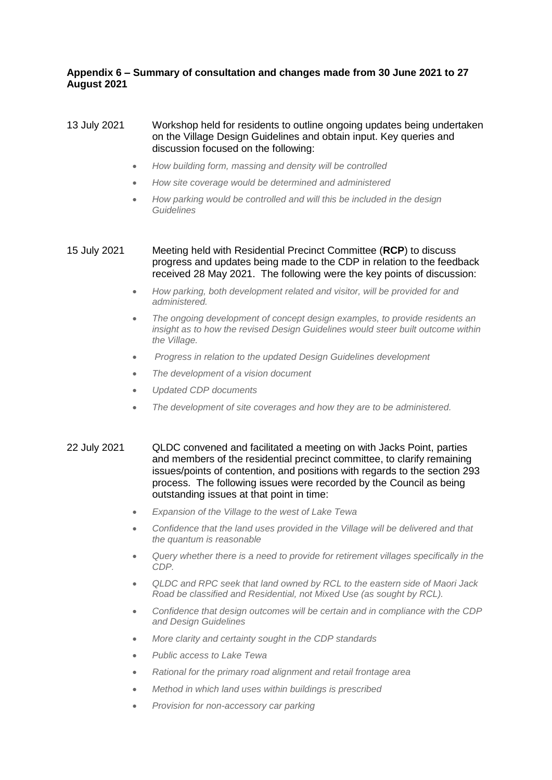# **Appendix 6 – Summary of consultation and changes made from 30 June 2021 to 27 August 2021**

### 13 July 2021 Workshop held for residents to outline ongoing updates being undertaken on the Village Design Guidelines and obtain input. Key queries and discussion focused on the following:

- *How building form, massing and density will be controlled*
- *How site coverage would be determined and administered*
- *How parking would be controlled and will this be included in the design Guidelines*

### 15 July 2021 Meeting held with Residential Precinct Committee (**RCP**) to discuss progress and updates being made to the CDP in relation to the feedback received 28 May 2021. The following were the key points of discussion:

- *How parking, both development related and visitor, will be provided for and administered.*
- *The ongoing development of concept design examples, to provide residents an insight as to how the revised Design Guidelines would steer built outcome within the Village.*
- *Progress in relation to the updated Design Guidelines development*
- *The development of a vision document*
- *Updated CDP documents*
- *The development of site coverages and how they are to be administered.*
- 22 July 2021 QLDC convened and facilitated a meeting on with Jacks Point, parties and members of the residential precinct committee, to clarify remaining issues/points of contention, and positions with regards to the section 293 process. The following issues were recorded by the Council as being outstanding issues at that point in time:
	- *Expansion of the Village to the west of Lake Tewa*
	- *Confidence that the land uses provided in the Village will be delivered and that the quantum is reasonable*
	- *Query whether there is a need to provide for retirement villages specifically in the CDP.*
	- *QLDC and RPC seek that land owned by RCL to the eastern side of Maori Jack Road be classified and Residential, not Mixed Use (as sought by RCL).*
	- *Confidence that design outcomes will be certain and in compliance with the CDP and Design Guidelines*
	- *More clarity and certainty sought in the CDP standards*
	- *Public access to Lake Tewa*
	- *Rational for the primary road alignment and retail frontage area*
	- *Method in which land uses within buildings is prescribed*
	- *Provision for non-accessory car parking*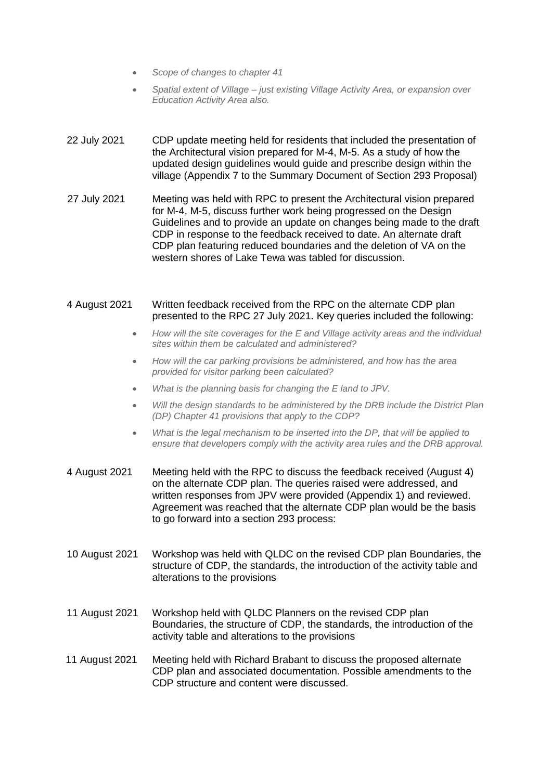- *Scope of changes to chapter 41*
- *Spatial extent of Village – just existing Village Activity Area, or expansion over Education Activity Area also.*
- 22 July 2021 CDP update meeting held for residents that included the presentation of the Architectural vision prepared for M-4, M-5. As a study of how the updated design guidelines would guide and prescribe design within the village (Appendix 7 to the Summary Document of Section 293 Proposal)
- 27 July 2021 Meeting was held with RPC to present the Architectural vision prepared for M-4, M-5, discuss further work being progressed on the Design Guidelines and to provide an update on changes being made to the draft CDP in response to the feedback received to date. An alternate draft CDP plan featuring reduced boundaries and the deletion of VA on the western shores of Lake Tewa was tabled for discussion.

# 4 August 2021 Written feedback received from the RPC on the alternate CDP plan presented to the RPC 27 July 2021. Key queries included the following:

- *How will the site coverages for the E and Village activity areas and the individual sites within them be calculated and administered?*
- *How will the car parking provisions be administered, and how has the area provided for visitor parking been calculated?*
- *What is the planning basis for changing the E land to JPV.*
- *Will the design standards to be administered by the DRB include the District Plan (DP) Chapter 41 provisions that apply to the CDP?*
- *What is the legal mechanism to be inserted into the DP, that will be applied to ensure that developers comply with the activity area rules and the DRB approval.*
- 4 August 2021 Meeting held with the RPC to discuss the feedback received (August 4) on the alternate CDP plan. The queries raised were addressed, and written responses from JPV were provided (Appendix 1) and reviewed. Agreement was reached that the alternate CDP plan would be the basis to go forward into a section 293 process:
- 10 August 2021 Workshop was held with QLDC on the revised CDP plan Boundaries, the structure of CDP, the standards, the introduction of the activity table and alterations to the provisions
- 11 August 2021 Workshop held with QLDC Planners on the revised CDP plan Boundaries, the structure of CDP, the standards, the introduction of the activity table and alterations to the provisions
- 11 August 2021 Meeting held with Richard Brabant to discuss the proposed alternate CDP plan and associated documentation. Possible amendments to the CDP structure and content were discussed.